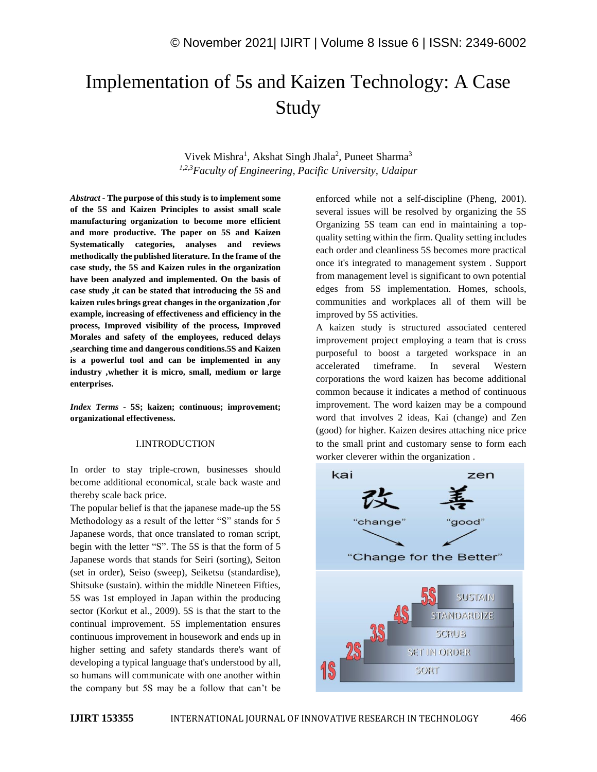# Implementation of 5s and Kaizen Technology: A Case Study

Vivek Mishra<sup>1</sup>, Akshat Singh Jhala<sup>2</sup>, Puneet Sharma<sup>3</sup> *1,2,3Faculty of Engineering, Pacific University, Udaipur*

*Abstract -* **The purpose of this study is to implement some of the 5S and Kaizen Principles to assist small scale manufacturing organization to become more efficient and more productive. The paper on 5S and Kaizen Systematically categories, analyses and reviews methodically the published literature. In the frame of the case study, the 5S and Kaizen rules in the organization have been analyzed and implemented. On the basis of case study ,it can be stated that introducing the 5S and kaizen rules brings great changes in the organization ,for example, increasing of effectiveness and efficiency in the process, Improved visibility of the process, Improved Morales and safety of the employees, reduced delays ,searching time and dangerous conditions.5S and Kaizen is a powerful tool and can be implemented in any industry ,whether it is micro, small, medium or large enterprises.**

*Index Terms -* **5S; kaizen; continuous; improvement; organizational effectiveness.**

#### I.INTRODUCTION

In order to stay triple-crown, businesses should become additional economical, scale back waste and thereby scale back price.

The popular belief is that the japanese made-up the 5S Methodology as a result of the letter "S" stands for 5 Japanese words, that once translated to roman script, begin with the letter "S". The 5S is that the form of 5 Japanese words that stands for Seiri (sorting), Seiton (set in order), Seiso (sweep), Seiketsu (standardise), Shitsuke (sustain). within the middle Nineteen Fifties, 5S was 1st employed in Japan within the producing sector (Korkut et al., 2009). 5S is that the start to the continual improvement. 5S implementation ensures continuous improvement in housework and ends up in higher setting and safety standards there's want of developing a typical language that's understood by all, so humans will communicate with one another within the company but 5S may be a follow that can't be enforced while not a self-discipline (Pheng, 2001). several issues will be resolved by organizing the 5S Organizing 5S team can end in maintaining a topquality setting within the firm. Quality setting includes each order and cleanliness 5S becomes more practical once it's integrated to management system . Support from management level is significant to own potential edges from 5S implementation. Homes, schools, communities and workplaces all of them will be improved by 5S activities.

A kaizen study is structured associated centered improvement project employing a team that is cross purposeful to boost a targeted workspace in an accelerated timeframe. In several Western corporations the word kaizen has become additional common because it indicates a method of continuous improvement. The word kaizen may be a compound word that involves 2 ideas, Kai (change) and Zen (good) for higher. Kaizen desires attaching nice price to the small print and customary sense to form each worker cleverer within the organization .

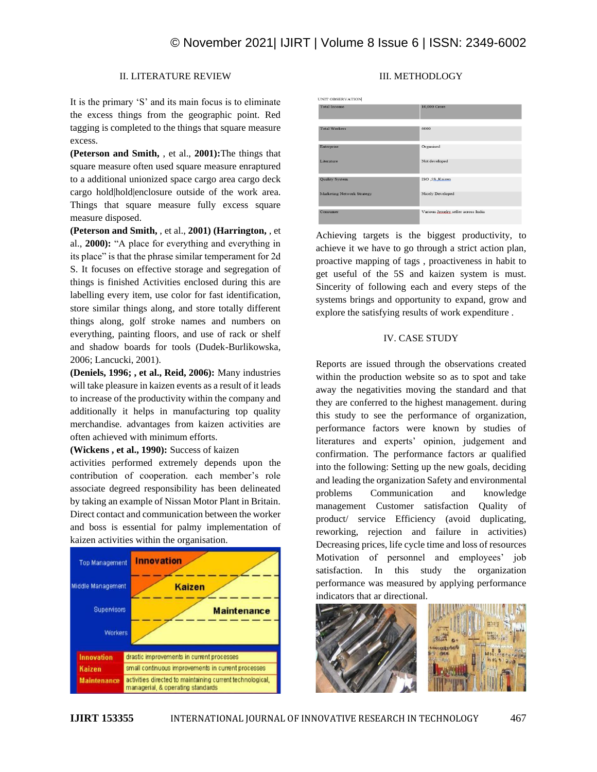# II. LITERATURE REVIEW

It is the primary 'S' and its main focus is to eliminate the excess things from the geographic point. Red tagging is completed to the things that square measure excess.

**(Peterson and Smith,** , et al., **2001):**The things that square measure often used square measure enraptured to a additional unionized space cargo area cargo deck cargo hold|hold|enclosure outside of the work area. Things that square measure fully excess square measure disposed.

**(Peterson and Smith,** , et al., **2001) (Harrington,** , et al., **2000):** "A place for everything and everything in its place" is that the phrase similar temperament for 2d S. It focuses on effective storage and segregation of things is finished Activities enclosed during this are labelling every item, use color for fast identification, store similar things along, and store totally different things along, golf stroke names and numbers on everything, painting floors, and use of rack or shelf and shadow boards for tools (Dudek-Burlikowska, 2006; Lancucki, 2001).

**(Deniels, 1996; , et al., Reid, 2006):** Many industries will take pleasure in kaizen events as a result of it leads to increase of the productivity within the company and additionally it helps in manufacturing top quality merchandise. advantages from kaizen activities are often achieved with minimum efforts.

**(Wickens , et al., 1990):** Success of kaizen

activities performed extremely depends upon the contribution of cooperation. each member's role associate degreed responsibility has been delineated by taking an example of Nissan Motor Plant in Britain. Direct contact and communication between the worker and boss is essential for palmy implementation of kaizen activities within the organisation.



# III. METHODLOGY

UNIT OBSERVATION .<br>Fotal Incom  $0.000$  Crom iterpris Drganised Not developed iterature **Quality System** ISO ,5S Kaizen Nicely Developed **farketing Network Strateg** .<br>Various Jewelry, seller across India

Achieving targets is the biggest productivity, to achieve it we have to go through a strict action plan, proactive mapping of tags , proactiveness in habit to get useful of the 5S and kaizen system is must. Sincerity of following each and every steps of the systems brings and opportunity to expand, grow and explore the satisfying results of work expenditure .

# IV. CASE STUDY

Reports are issued through the observations created within the production website so as to spot and take away the negativities moving the standard and that they are conferred to the highest management. during this study to see the performance of organization, performance factors were known by studies of literatures and experts' opinion, judgement and confirmation. The performance factors ar qualified into the following: Setting up the new goals, deciding and leading the organization Safety and environmental problems Communication and knowledge management Customer satisfaction Quality of product/ service Efficiency (avoid duplicating, reworking, rejection and failure in activities) Decreasing prices, life cycle time and loss of resources Motivation of personnel and employees' job satisfaction. In this study the organization performance was measured by applying performance indicators that ar directional.

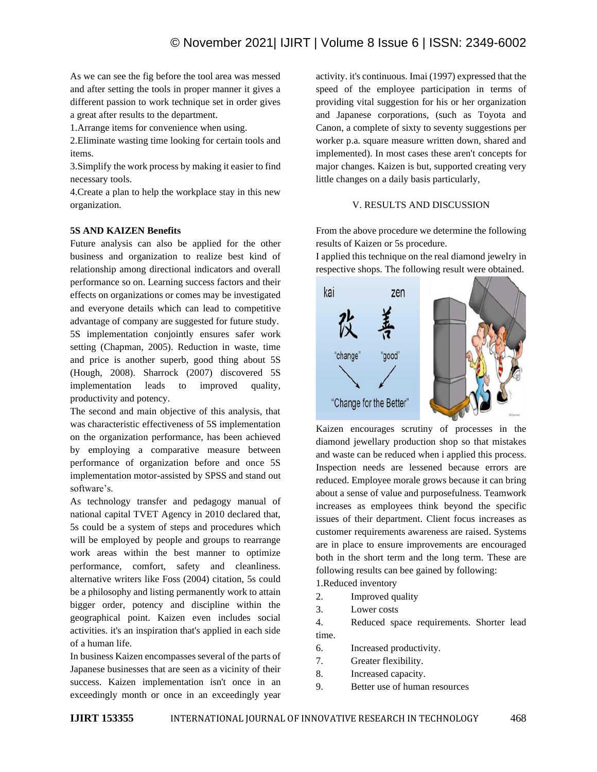As we can see the fig before the tool area was messed and after setting the tools in proper manner it gives a different passion to work technique set in order gives a great after results to the department.

1.Arrange items for convenience when using.

2.Eliminate wasting time looking for certain tools and items.

3.Simplify the work process by making it easier to find necessary tools.

4.Create a plan to help the workplace stay in this new organization.

# **5S AND KAIZEN Benefits**

Future analysis can also be applied for the other business and organization to realize best kind of relationship among directional indicators and overall performance so on. Learning success factors and their effects on organizations or comes may be investigated and everyone details which can lead to competitive advantage of company are suggested for future study. 5S implementation conjointly ensures safer work setting (Chapman, 2005). Reduction in waste, time and price is another superb, good thing about 5S (Hough, 2008). Sharrock (2007) discovered 5S implementation leads to improved quality, productivity and potency.

The second and main objective of this analysis, that was characteristic effectiveness of 5S implementation on the organization performance, has been achieved by employing a comparative measure between performance of organization before and once 5S implementation motor-assisted by SPSS and stand out software's.

As technology transfer and pedagogy manual of national capital TVET Agency in 2010 declared that, 5s could be a system of steps and procedures which will be employed by people and groups to rearrange work areas within the best manner to optimize performance, comfort, safety and cleanliness. alternative writers like Foss (2004) citation, 5s could be a philosophy and listing permanently work to attain bigger order, potency and discipline within the geographical point. Kaizen even includes social activities. it's an inspiration that's applied in each side of a human life.

In business Kaizen encompasses several of the parts of Japanese businesses that are seen as a vicinity of their success. Kaizen implementation isn't once in an exceedingly month or once in an exceedingly year activity. it's continuous. Imai (1997) expressed that the speed of the employee participation in terms of providing vital suggestion for his or her organization and Japanese corporations, (such as Toyota and Canon, a complete of sixty to seventy suggestions per worker p.a. square measure written down, shared and implemented). In most cases these aren't concepts for major changes. Kaizen is but, supported creating very little changes on a daily basis particularly,

# V. RESULTS AND DISCUSSION

From the above procedure we determine the following results of Kaizen or 5s procedure.

I applied this technique on the real diamond jewelry in respective shops. The following result were obtained.



Kaizen encourages scrutiny of processes in the diamond jewellary production shop so that mistakes and waste can be reduced when i applied this process. Inspection needs are lessened because errors are reduced. Employee morale grows because it can bring about a sense of value and purposefulness. Teamwork increases as employees think beyond the specific issues of their department. Client focus increases as customer requirements awareness are raised. Systems are in place to ensure improvements are encouraged both in the short term and the long term. These are following results can bee gained by following:

1.Reduced inventory

- 2. Improved quality
- 3. Lower costs

4. Reduced space requirements. Shorter lead time.

6. Increased productivity.

- 7. Greater flexibility.
- 8. Increased capacity.
- 9. Better use of human resources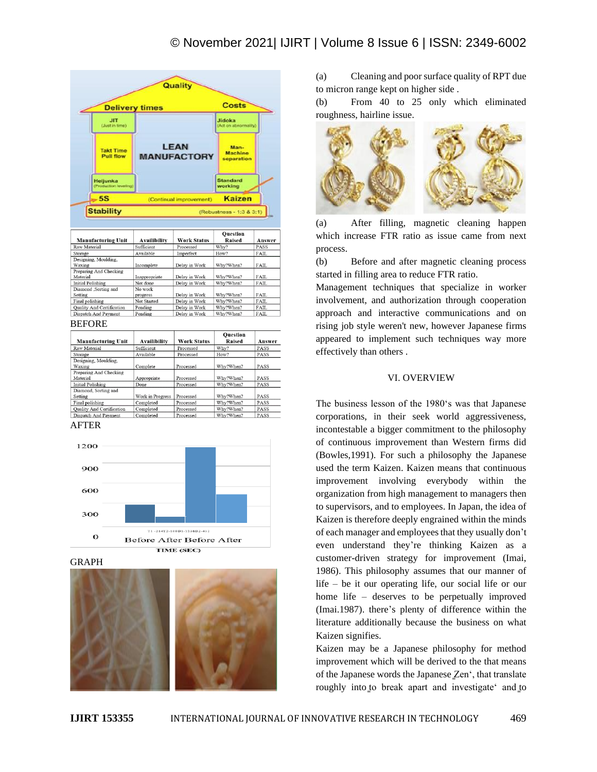

| <b>Manufacturing Unit</b>        | Availibility  | <b>Work Status</b> | Raised    | Answer      |
|----------------------------------|---------------|--------------------|-----------|-------------|
| Raw Material                     | Sufficient    | Processed          | Why?      | PASS        |
| Storage                          | Available     | Imperfect          | How?      | FAIL        |
| Designing, Moulding,             |               |                    |           |             |
| Waxing                           | Incomplete    | Delay in Work      | Why?When? | FAIL        |
| Preparing And Checking           |               |                    |           |             |
| Material                         | Inappropriate | Delay in Work      | Why?When? | <b>FAIL</b> |
| <b>Initial Polishing</b>         | Not done      | Delay in Work      | Why?When? | FAIL        |
| Diamond , Sorting and            | No work       |                    |           |             |
| Setting                          | progress      | Delay in Work      | Why?When? | FAIL        |
| Final polishing                  | Not Started   | Delay in Work      | Why?When? | <b>FAIL</b> |
| <b>Ouality And Certification</b> | Pending       | Delay in Work      | Why?When? | FAIL        |
| Dispatch And Payment             | Pending       | Delay in Work      | Why?When? | <b>FAIL</b> |
|                                  |               |                    |           |             |

#### **BEFORE**

| <b>Manufacturing Unit</b> | Availibility     | <b>Work Status</b> | <b>Ouestion</b><br>Raised | Answer      |
|---------------------------|------------------|--------------------|---------------------------|-------------|
| Raw Material              | Sufficient       | Processed          | Why?                      | <b>PASS</b> |
| Storage                   | Available        | Processed          | How?                      | <b>PASS</b> |
| Designing, Moulding,      |                  |                    |                           |             |
| Waxing                    | Complete         | Processed          | Why?When?                 | <b>PASS</b> |
| Preparing And Checking    |                  |                    |                           |             |
| Material                  | Appropriate      | Processed          | Why?When?                 | <b>PASS</b> |
| <b>Initial Polishing</b>  | Done             | Processed          | Why?When?                 | PASS        |
| Diamond, Sorting and      |                  |                    |                           |             |
| Setting                   | Work in Progress | Processed          | Why?When?                 | <b>PASS</b> |
| Final polishing           | Completed        | Processed          | Why?When?                 | PASS        |
| Quality And Certification | Completed        | Processed          | Why?When?                 | PASS        |
| Dispatch And Payment      | Completed        | Processed          | Why?When?                 | <b>PASS</b> |
|                           |                  |                    |                           |             |

### AFTER



**GRAPH** 



(a) Cleaning and poor surface quality of RPT due to micron range kept on higher side .

(b) From 40 to 25 only which eliminated roughness, hairline issue.



(a) After filling, magnetic cleaning happen which increase FTR ratio as issue came from next process.

(b) Before and after magnetic cleaning process started in filling area to reduce FTR ratio.

Management techniques that specialize in worker involvement, and authorization through cooperation approach and interactive communications and on rising job style weren't new, however Japanese firms appeared to implement such techniques way more effectively than others .

#### VI. OVERVIEW

The business lesson of the 1980's was that Japanese corporations, in their seek world aggressiveness, incontestable a bigger commitment to the philosophy of continuous improvement than Western firms did (Bowles,1991). For such a philosophy the Japanese used the term Kaizen. Kaizen means that continuous improvement involving everybody within the organization from high management to managers then to supervisors, and to employees. In Japan, the idea of Kaizen is therefore deeply engrained within the minds of each manager and employees that they usually don't even understand they're thinking Kaizen as a customer-driven strategy for improvement (Imai, 1986). This philosophy assumes that our manner of life – be it our operating life, our social life or our home life – deserves to be perpetually improved (Imai.1987). there's plenty of difference within the literature additionally because the business on what Kaizen signifies.

Kaizen may be a Japanese philosophy for method improvement which will be derived to the that means of the Japanese words the Japanese Zen', that translate roughly into to break apart and investigate' and to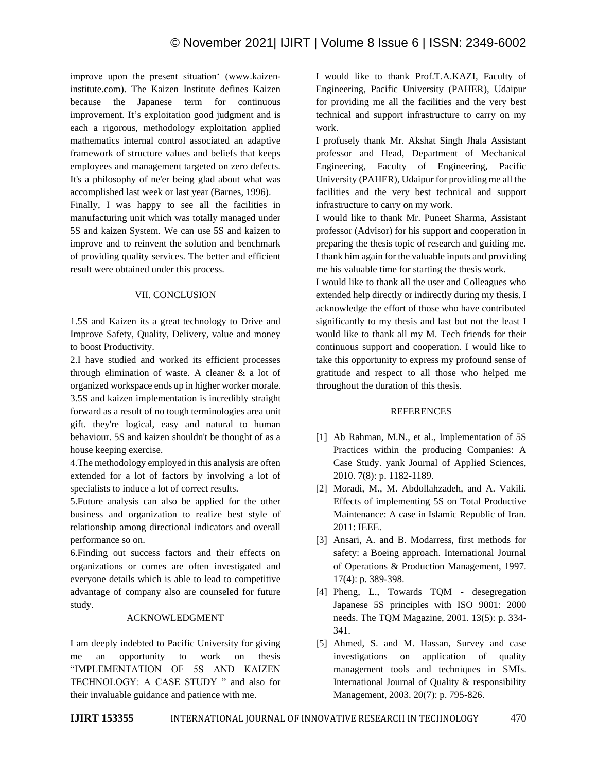improve upon the present situation' (www.kaizeninstitute.com). The Kaizen Institute defines Kaizen because the Japanese term for continuous improvement. It's exploitation good judgment and is each a rigorous, methodology exploitation applied mathematics internal control associated an adaptive framework of structure values and beliefs that keeps employees and management targeted on zero defects. It's a philosophy of ne'er being glad about what was accomplished last week or last year (Barnes, 1996).

Finally, I was happy to see all the facilities in manufacturing unit which was totally managed under 5S and kaizen System. We can use 5S and kaizen to improve and to reinvent the solution and benchmark of providing quality services. The better and efficient result were obtained under this process.

# VII. CONCLUSION

1.5S and Kaizen its a great technology to Drive and Improve Safety, Quality, Delivery, value and money to boost Productivity.

2.I have studied and worked its efficient processes through elimination of waste. A cleaner & a lot of organized workspace ends up in higher worker morale. 3.5S and kaizen implementation is incredibly straight forward as a result of no tough terminologies area unit gift. they're logical, easy and natural to human behaviour. 5S and kaizen shouldn't be thought of as a house keeping exercise.

4.The methodology employed in this analysis are often extended for a lot of factors by involving a lot of specialists to induce a lot of correct results.

5.Future analysis can also be applied for the other business and organization to realize best style of relationship among directional indicators and overall performance so on.

6.Finding out success factors and their effects on organizations or comes are often investigated and everyone details which is able to lead to competitive advantage of company also are counseled for future study.

# ACKNOWLEDGMENT

I am deeply indebted to Pacific University for giving me an opportunity to work on thesis "IMPLEMENTATION OF 5S AND KAIZEN TECHNOLOGY: A CASE STUDY " and also for their invaluable guidance and patience with me.

I would like to thank Prof.T.A.KAZI, Faculty of Engineering, Pacific University (PAHER), Udaipur for providing me all the facilities and the very best technical and support infrastructure to carry on my work.

I profusely thank Mr. Akshat Singh Jhala Assistant professor and Head, Department of Mechanical Engineering, Faculty of Engineering, Pacific University (PAHER), Udaipur for providing me all the facilities and the very best technical and support infrastructure to carry on my work.

I would like to thank Mr. Puneet Sharma, Assistant professor (Advisor) for his support and cooperation in preparing the thesis topic of research and guiding me. I thank him again for the valuable inputs and providing me his valuable time for starting the thesis work.

I would like to thank all the user and Colleagues who extended help directly or indirectly during my thesis. I acknowledge the effort of those who have contributed significantly to my thesis and last but not the least I would like to thank all my M. Tech friends for their continuous support and cooperation. I would like to take this opportunity to express my profound sense of gratitude and respect to all those who helped me throughout the duration of this thesis.

# REFERENCES

- [1] Ab Rahman, M.N., et al., Implementation of 5S Practices within the producing Companies: A Case Study. yank Journal of Applied Sciences, 2010. 7(8): p. 1182-1189.
- [2] Moradi, M., M. Abdollahzadeh, and A. Vakili. Effects of implementing 5S on Total Productive Maintenance: A case in Islamic Republic of Iran. 2011: IEEE.
- [3] Ansari, A. and B. Modarress, first methods for safety: a Boeing approach. International Journal of Operations & Production Management, 1997. 17(4): p. 389-398.
- [4] Pheng, L., Towards TQM desegregation Japanese 5S principles with ISO 9001: 2000 needs. The TQM Magazine, 2001. 13(5): p. 334- 341.
- [5] Ahmed, S. and M. Hassan, Survey and case investigations on application of quality management tools and techniques in SMIs. International Journal of Quality & responsibility Management, 2003. 20(7): p. 795-826.